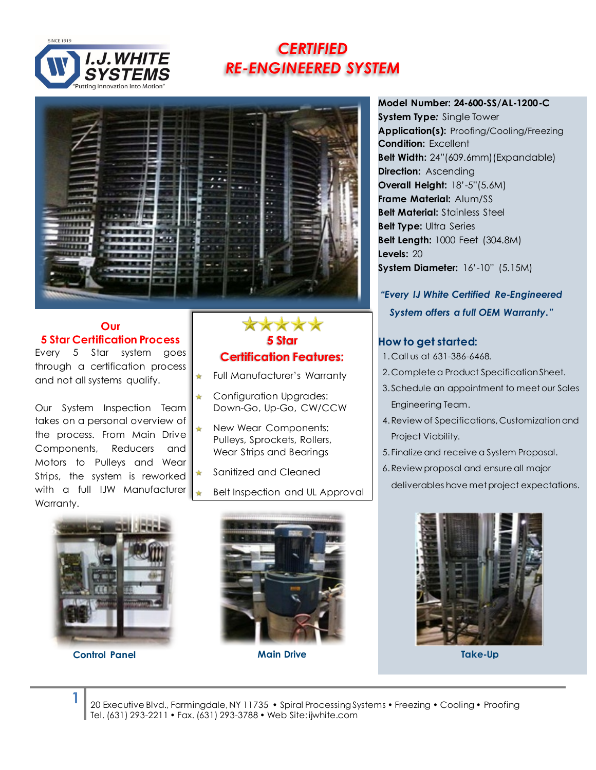

# *CERTIFIED RE-ENGINEERED SYSTEM*



₩

#### **Our 5 Star Certification Process**

Every 5 Star system goes through a certification process and not all systems qualify.

Our System Inspection Team takes on a personal overview of the process. From Main Drive Components, Reducers and Motors to Pulleys and Wear Strips, the system is reworked with a full IJW Manufacturer Warranty.

### **\*\*\* 5 Star Certification Features:**

Full Manufacturer's Warranty

- Configuration Upgrades: Down-Go, Up-Go, CW/CCW
- New Wear Components: Pulleys, Sprockets, Rollers, Wear Strips and Bearings
- Sanitized and Cleaned
- Belt Inspection and UL Approval

**System Type***:* Single Tower **Application(s):** Proofing/Cooling/Freezing **Condition:** Excellent **Belt Width:** 24"(609.6mm)(Expandable) **Direction:** Ascending **Overall Height:** 18'-5"(5.6M) **Frame Material:** Alum/SS **Belt Material:** Stainless Steel **Belt Type:** Ultra Series **Belt Length:** 1000 Feet (304.8M) **Levels:** 20 **System Diameter:** 16'-10" (5.15M)

**Model Number: 24-600-SS/AL-1200-C**

*"Every IJ White Certified Re-Engineered System offers a full OEM Warranty."*

#### **How to get started:**

- 1. Call us at 631-386-6468.
- 2. Complete a Product Specification Sheet.
- 3. Schedule an appointment to meet our Sales Engineering Team.
- 4.Review of Specifications, Customization and Project Viability.
- 5. Finalize and receive a System Proposal.
- 6.Review proposal and ensure all major
	- deliverables have met project expectations.



**Control Panel Main Drive Take-Up**